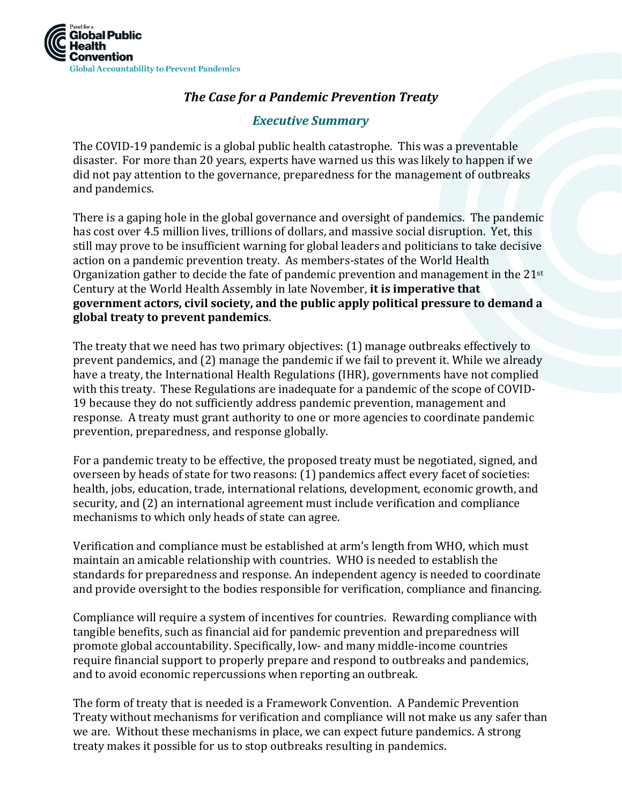

# *The Case for a Pandemic Prevention Treaty*

# *Executive Summary*

The COVID-19 pandemic is a global public health catastrophe. This was a preventable disaster. For more than 20 years, experts have warned us this was likely to happen if we did not pay attention to the governance, preparedness for the management of outbreaks and pandemics.

There is a gaping hole in the global governance and oversight of pandemics. The pandemic has cost over 4.5 million lives, trillions of dollars, and massive social disruption. Yet, this still may prove to be insufficient warning for global leaders and politicians to take decisive action on a pandemic prevention treaty. As members-states of the World Health Organization gather to decide the fate of pandemic prevention and management in the 21st Century at the World Health Assembly in late November, **it is imperative that government actors, civil society, and the public apply political pressure to demand a global treaty to prevent pandemics**.

The treaty that we need has two primary objectives: (1) manage outbreaks effectively to prevent pandemics, and (2) manage the pandemic if we fail to prevent it. While we already have a treaty, the International Health Regulations (IHR), governments have not complied with this treaty. These Regulations are inadequate for a pandemic of the scope of COVID-19 because they do not sufficiently address pandemic prevention, management and response. A treaty must grant authority to one or more agencies to coordinate pandemic prevention, preparedness, and response globally.

For a pandemic treaty to be effective, the proposed treaty must be negotiated, signed, and overseen by heads of state for two reasons: (1) pandemics affect every facet of societies: health, jobs, education, trade, international relations, development, economic growth, and security, and (2) an international agreement must include verification and compliance mechanisms to which only heads of state can agree.

Verification and compliance must be established at arm's length from WHO, which must maintain an amicable relationship with countries. WHO is needed to establish the standards for preparedness and response. An independent agency is needed to coordinate and provide oversight to the bodies responsible for verification, compliance and financing.

Compliance will require a system of incentives for countries. Rewarding compliance with tangible benefits, such as financial aid for pandemic prevention and preparedness will promote global accountability. Specifically, low- and many middle-income countries require financial support to properly prepare and respond to outbreaks and pandemics, and to avoid economic repercussions when reporting an outbreak.

The form of treaty that is needed is a Framework Convention. A Pandemic Prevention Treaty without mechanisms for verification and compliance will not make us any safer than we are. Without these mechanisms in place, we can expect future pandemics. A strong treaty makes it possible for us to stop outbreaks resulting in pandemics.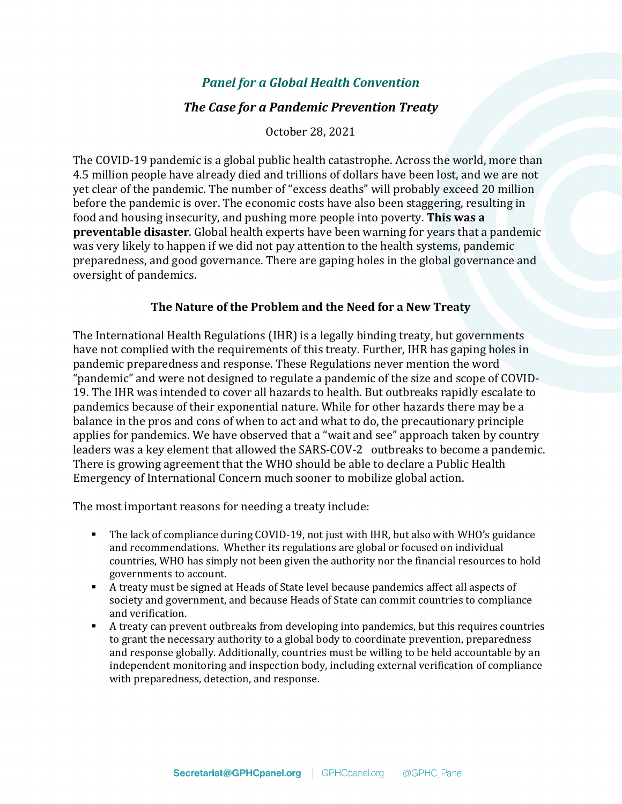# *Panel for a Global Health Convention*

## *The Case for a Pandemic Prevention Treaty*

October 28, 2021

The COVID-19 pandemic is a global public health catastrophe. Across the world, more than 4.5 million people have already died and trillions of dollars have been lost, and we are not yet clear of the pandemic. The number of "excess deaths" will probably exceed 20 million before the pandemic is over. The economic costs have also been staggering, resulting in food and housing insecurity, and pushing more people into poverty. **This was a preventable disaster**. Global health experts have been warning for years that a pandemic was very likely to happen if we did not pay attention to the health systems, pandemic preparedness, and good governance. There are gaping holes in the global governance and oversight of pandemics.

## **The Nature of the Problem and the Need for a New Treaty**

The International Health Regulations (IHR) is a legally binding treaty, but governments have not complied with the requirements of this treaty. Further, IHR has gaping holes in pandemic preparedness and response. These Regulations never mention the word "pandemic" and were not designed to regulate a pandemic of the size and scope of COVID-19. The IHR was intended to cover all hazards to health. But outbreaks rapidly escalate to pandemics because of their exponential nature. While for other hazards there may be a balance in the pros and cons of when to act and what to do, the precautionary principle applies for pandemics. We have observed that a "wait and see" approach taken by country leaders was a key element that allowed the SARS-COV-2 outbreaks to become a pandemic. There is growing agreement that the WHO should be able to declare a Public Health Emergency of International Concern much sooner to mobilize global action.

The most important reasons for needing a treaty include:

- The lack of compliance during COVID-19, not just with IHR, but also with WHO's guidance and recommendations. Whether its regulations are global or focused on individual countries, WHO has simply not been given the authority nor the financial resources to hold governments to account.
- A treaty must be signed at Heads of State level because pandemics affect all aspects of society and government, and because Heads of State can commit countries to compliance and verification.
- A treaty can prevent outbreaks from developing into pandemics, but this requires countries to grant the necessary authority to a global body to coordinate prevention, preparedness and response globally. Additionally, countries must be willing to be held accountable by an independent monitoring and inspection body, including external verification of compliance with preparedness, detection, and response.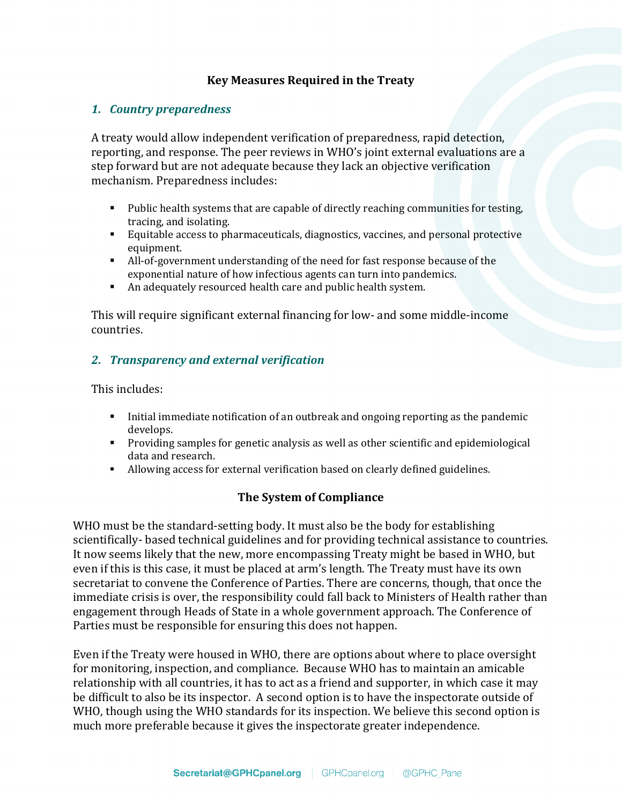# **Key Measures Required in the Treaty**

#### *1. Country preparedness*

A treaty would allow independent verification of preparedness, rapid detection, reporting, and response. The peer reviews in WHO's joint external evaluations are a step forward but are not adequate because they lack an objective verification mechanism. Preparedness includes:

- Public health systems that are capable of directly reaching communities for testing, tracing, and isolating.
- Equitable access to pharmaceuticals, diagnostics, vaccines, and personal protective equipment.
- All-of-government understanding of the need for fast response because of the exponential nature of how infectious agents can turn into pandemics.
- An adequately resourced health care and public health system.

This will require significant external financing for low- and some middle-income countries.

# *2. Transparency and external verification*

This includes:

- Initial immediate notification of an outbreak and ongoing reporting as the pandemic develops.
- **Providing samples for genetic analysis as well as other scientific and epidemiological** data and research.
- Allowing access for external verification based on clearly defined guidelines.

## **The System of Compliance**

WHO must be the standard-setting body. It must also be the body for establishing scientifically- based technical guidelines and for providing technical assistance to countries. It now seems likely that the new, more encompassing Treaty might be based in WHO, but even if this is this case, it must be placed at arm's length. The Treaty must have its own secretariat to convene the Conference of Parties. There are concerns, though, that once the immediate crisis is over, the responsibility could fall back to Ministers of Health rather than engagement through Heads of State in a whole government approach. The Conference of Parties must be responsible for ensuring this does not happen.

Even if the Treaty were housed in WHO, there are options about where to place oversight for monitoring, inspection, and compliance. Because WHO has to maintain an amicable relationship with all countries, it has to act as a friend and supporter, in which case it may be difficult to also be its inspector. A second option is to have the inspectorate outside of WHO, though using the WHO standards for its inspection. We believe this second option is much more preferable because it gives the inspectorate greater independence.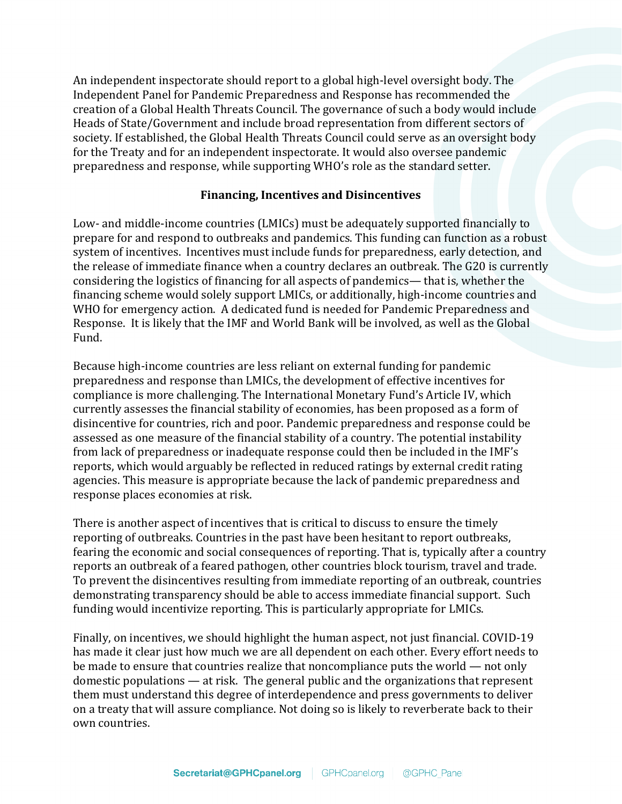An independent inspectorate should report to a global high-level oversight body. The Independent Panel for Pandemic Preparedness and Response has recommended the creation of a Global Health Threats Council. The governance of such a body would include Heads of State/Government and include broad representation from different sectors of society. If established, the Global Health Threats Council could serve as an oversight body for the Treaty and for an independent inspectorate. It would also oversee pandemic preparedness and response, while supporting WHO's role as the standard setter.

#### **Financing, Incentives and Disincentives**

Low- and middle-income countries (LMICs) must be adequately supported financially to prepare for and respond to outbreaks and pandemics. This funding can function as a robust system of incentives. Incentives must include funds for preparedness, early detection, and the release of immediate finance when a country declares an outbreak. The G20 is currently considering the logistics of financing for all aspects of pandemics— that is, whether the financing scheme would solely support LMICs, or additionally, high-income countries and WHO for emergency action. A dedicated fund is needed for Pandemic Preparedness and Response. It is likely that the IMF and World Bank will be involved, as well as the Global Fund.

Because high-income countries are less reliant on external funding for pandemic preparedness and response than LMICs, the development of effective incentives for compliance is more challenging. The International Monetary Fund's Article IV, which currently assesses the financial stability of economies, has been proposed as a form of disincentive for countries, rich and poor. Pandemic preparedness and response could be assessed as one measure of the financial stability of a country. The potential instability from lack of preparedness or inadequate response could then be included in the IMF's reports, which would arguably be reflected in reduced ratings by external credit rating agencies. This measure is appropriate because the lack of pandemic preparedness and response places economies at risk.

There is another aspect of incentives that is critical to discuss to ensure the timely reporting of outbreaks. Countries in the past have been hesitant to report outbreaks, fearing the economic and social consequences of reporting. That is, typically after a country reports an outbreak of a feared pathogen, other countries block tourism, travel and trade. To prevent the disincentives resulting from immediate reporting of an outbreak, countries demonstrating transparency should be able to access immediate financial support. Such funding would incentivize reporting. This is particularly appropriate for LMICs.

Finally, on incentives, we should highlight the human aspect, not just financial. COVID-19 has made it clear just how much we are all dependent on each other. Every effort needs to be made to ensure that countries realize that noncompliance puts the world — not only domestic populations — at risk. The general public and the organizations that represent them must understand this degree of interdependence and press governments to deliver on a treaty that will assure compliance. Not doing so is likely to reverberate back to their own countries.